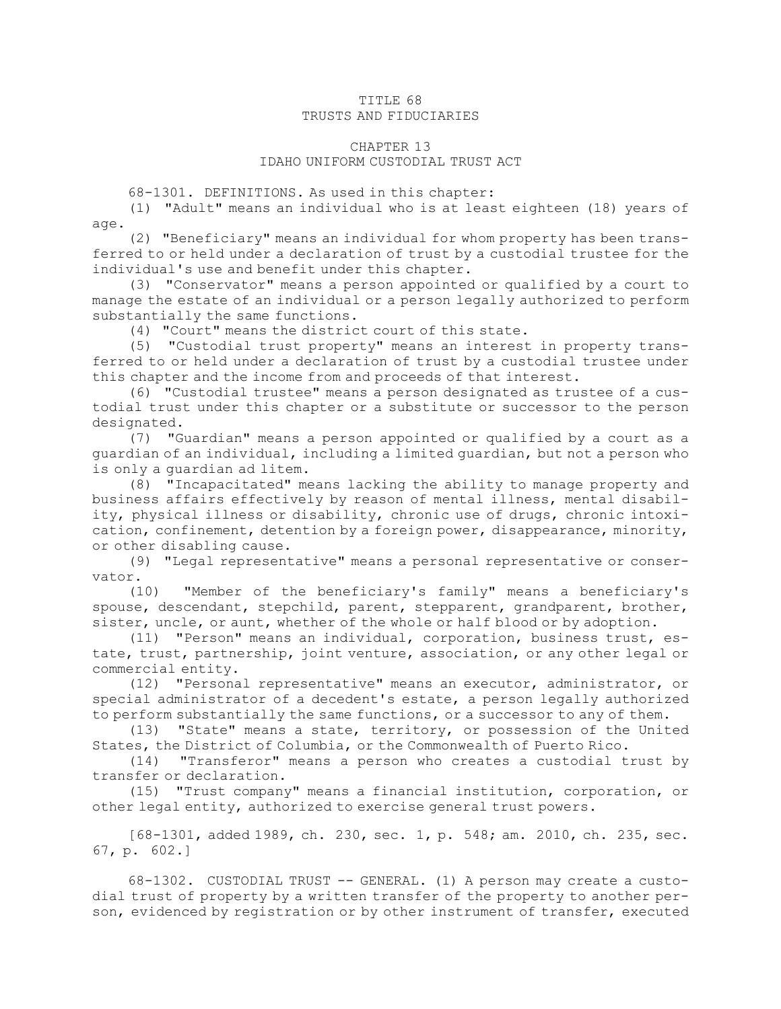## TITLE 68

# TRUSTS AND FIDUCIARIES

### CHAPTER 13

### IDAHO UNIFORM CUSTODIAL TRUST ACT

68-1301. DEFINITIONS. As used in this chapter:

(1) "Adult" means an individual who is at least eighteen (18) years of age.

(2) "Beneficiary" means an individual for whom property has been transferred to or held under <sup>a</sup> declaration of trust by <sup>a</sup> custodial trustee for the individual's use and benefit under this chapter.

(3) "Conservator" means <sup>a</sup> person appointed or qualified by <sup>a</sup> court to manage the estate of an individual or <sup>a</sup> person legally authorized to perform substantially the same functions.

(4) "Court" means the district court of this state.

(5) "Custodial trust property" means an interest in property transferred to or held under <sup>a</sup> declaration of trust by <sup>a</sup> custodial trustee under this chapter and the income from and proceeds of that interest.

(6) "Custodial trustee" means <sup>a</sup> person designated as trustee of <sup>a</sup> custodial trust under this chapter or <sup>a</sup> substitute or successor to the person designated.

(7) "Guardian" means <sup>a</sup> person appointed or qualified by <sup>a</sup> court as <sup>a</sup> guardian of an individual, including <sup>a</sup> limited guardian, but not <sup>a</sup> person who is only <sup>a</sup> guardian ad litem.

(8) "Incapacitated" means lacking the ability to manage property and business affairs effectively by reason of mental illness, mental disability, physical illness or disability, chronic use of drugs, chronic intoxication, confinement, detention by <sup>a</sup> foreign power, disappearance, minority, or other disabling cause.

(9) "Legal representative" means <sup>a</sup> personal representative or conservator.

(10) "Member of the beneficiary's family" means <sup>a</sup> beneficiary's spouse, descendant, stepchild, parent, stepparent, grandparent, brother, sister, uncle, or aunt, whether of the whole or half blood or by adoption.

(11) "Person" means an individual, corporation, business trust, estate, trust, partnership, joint venture, association, or any other legal or commercial entity.

(12) "Personal representative" means an executor, administrator, or special administrator of <sup>a</sup> decedent's estate, <sup>a</sup> person legally authorized to perform substantially the same functions, or <sup>a</sup> successor to any of them.

(13) "State" means <sup>a</sup> state, territory, or possession of the United States, the District of Columbia, or the Commonwealth of Puerto Rico.

(14) "Transferor" means <sup>a</sup> person who creates <sup>a</sup> custodial trust by transfer or declaration.

(15) "Trust company" means <sup>a</sup> financial institution, corporation, or other legal entity, authorized to exercise general trust powers.

[68-1301, added 1989, ch. 230, sec. 1, p. 548; am. 2010, ch. 235, sec. 67, p. 602.]

68-1302. CUSTODIAL TRUST -- GENERAL. (1) A person may create <sup>a</sup> custodial trust of property by <sup>a</sup> written transfer of the property to another person, evidenced by registration or by other instrument of transfer, executed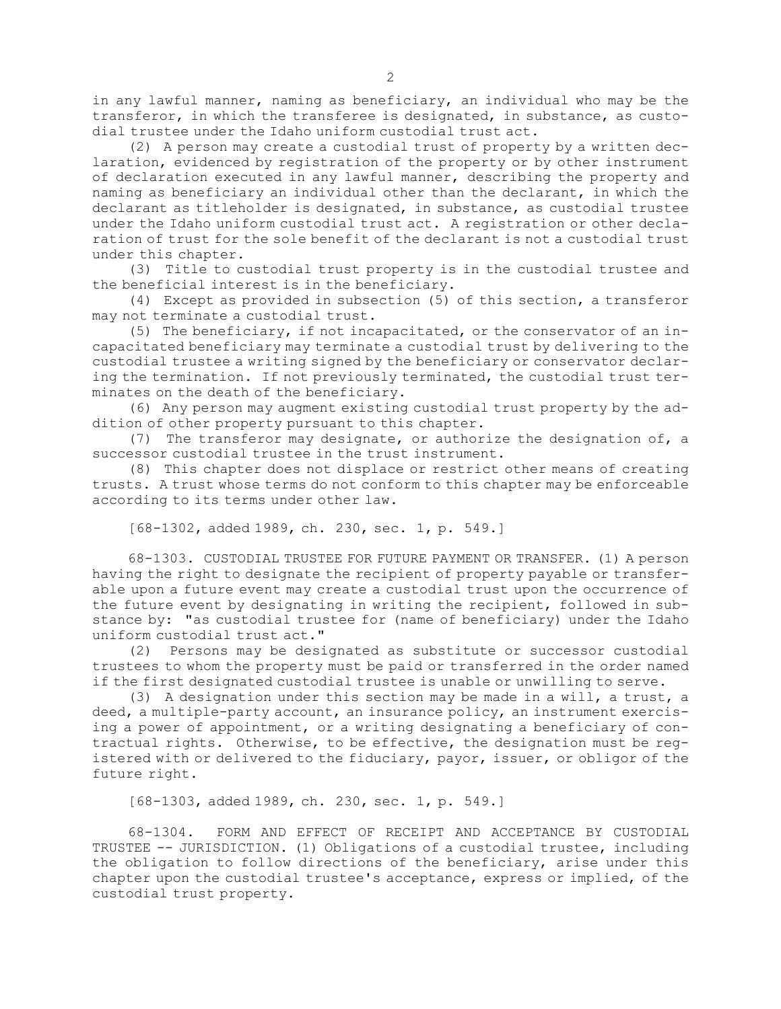in any lawful manner, naming as beneficiary, an individual who may be the transferor, in which the transferee is designated, in substance, as custodial trustee under the Idaho uniform custodial trust act.

(2) <sup>A</sup> person may create <sup>a</sup> custodial trust of property by <sup>a</sup> written declaration, evidenced by registration of the property or by other instrument of declaration executed in any lawful manner, describing the property and naming as beneficiary an individual other than the declarant, in which the declarant as titleholder is designated, in substance, as custodial trustee under the Idaho uniform custodial trust act. <sup>A</sup> registration or other declaration of trust for the sole benefit of the declarant is not <sup>a</sup> custodial trust under this chapter.

(3) Title to custodial trust property is in the custodial trustee and the beneficial interest is in the beneficiary.

(4) Except as provided in subsection (5) of this section, <sup>a</sup> transferor may not terminate <sup>a</sup> custodial trust.

(5) The beneficiary, if not incapacitated, or the conservator of an incapacitated beneficiary may terminate <sup>a</sup> custodial trust by delivering to the custodial trustee <sup>a</sup> writing signed by the beneficiary or conservator declaring the termination. If not previously terminated, the custodial trust terminates on the death of the beneficiary.

(6) Any person may augment existing custodial trust property by the addition of other property pursuant to this chapter.

(7) The transferor may designate, or authorize the designation of, <sup>a</sup> successor custodial trustee in the trust instrument.

(8) This chapter does not displace or restrict other means of creating trusts. <sup>A</sup> trust whose terms do not conform to this chapter may be enforceable according to its terms under other law.

[68-1302, added 1989, ch. 230, sec. 1, p. 549.]

68-1303. CUSTODIAL TRUSTEE FOR FUTURE PAYMENT OR TRANSFER. (1) A person having the right to designate the recipient of property payable or transferable upon <sup>a</sup> future event may create <sup>a</sup> custodial trust upon the occurrence of the future event by designating in writing the recipient, followed in substance by: "as custodial trustee for (name of beneficiary) under the Idaho uniform custodial trust act."

(2) Persons may be designated as substitute or successor custodial trustees to whom the property must be paid or transferred in the order named if the first designated custodial trustee is unable or unwilling to serve.

(3) <sup>A</sup> designation under this section may be made in <sup>a</sup> will, <sup>a</sup> trust, <sup>a</sup> deed, <sup>a</sup> multiple-party account, an insurance policy, an instrument exercising <sup>a</sup> power of appointment, or <sup>a</sup> writing designating <sup>a</sup> beneficiary of contractual rights. Otherwise, to be effective, the designation must be registered with or delivered to the fiduciary, payor, issuer, or obligor of the future right.

[68-1303, added 1989, ch. 230, sec. 1, p. 549.]

68-1304. FORM AND EFFECT OF RECEIPT AND ACCEPTANCE BY CUSTODIAL TRUSTEE -- JURISDICTION. (1) Obligations of <sup>a</sup> custodial trustee, including the obligation to follow directions of the beneficiary, arise under this chapter upon the custodial trustee's acceptance, express or implied, of the custodial trust property.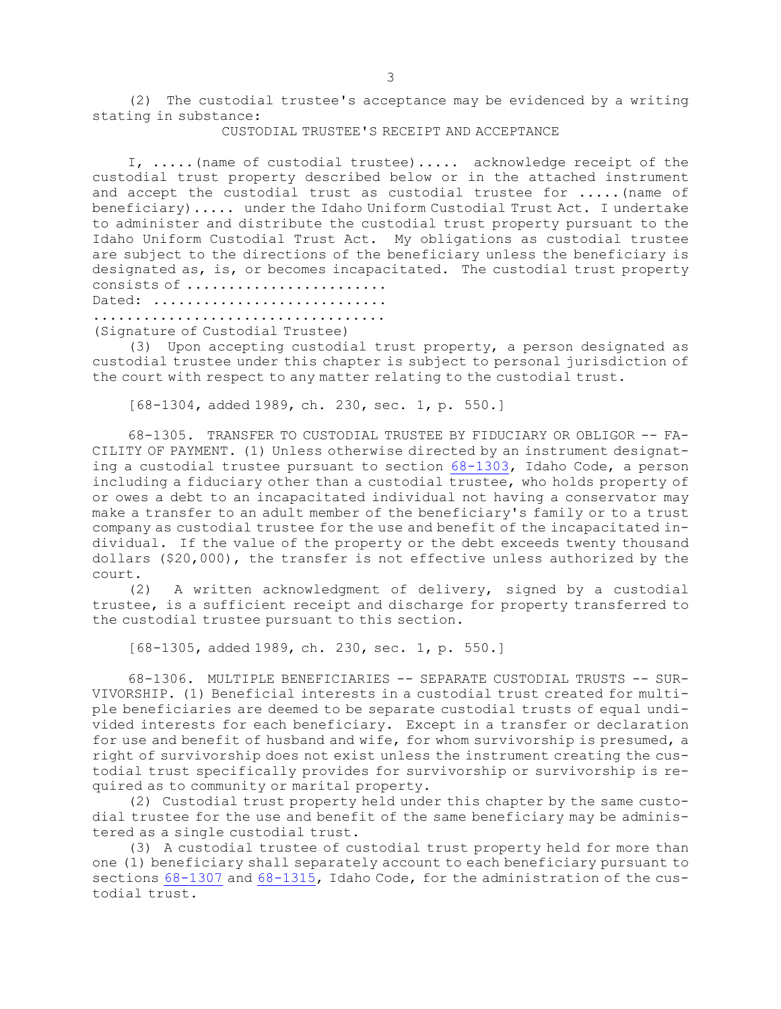(2) The custodial trustee's acceptance may be evidenced by <sup>a</sup> writing stating in substance:

CUSTODIAL TRUSTEE'S RECEIPT AND ACCEPTANCE

I, .....(name of custodial trustee)..... acknowledge receipt of the custodial trust property described below or in the attached instrument and accept the custodial trust as custodial trustee for .....(name of beneficiary)..... under the Idaho Uniform Custodial Trust Act. <sup>I</sup> undertake to administer and distribute the custodial trust property pursuant to the Idaho Uniform Custodial Trust Act. My obligations as custodial trustee are subject to the directions of the beneficiary unless the beneficiary is designated as, is, or becomes incapacitated. The custodial trust property consists of ........................ Dated: ............................

................................... (Signature of Custodial Trustee)

(3) Upon accepting custodial trust property, <sup>a</sup> person designated as custodial trustee under this chapter is subject to personal jurisdiction of the court with respect to any matter relating to the custodial trust.

[68-1304, added 1989, ch. 230, sec. 1, p. 550.]

68-1305. TRANSFER TO CUSTODIAL TRUSTEE BY FIDUCIARY OR OBLIGOR -- FA-CILITY OF PAYMENT. (1) Unless otherwise directed by an instrument designating <sup>a</sup> custodial trustee pursuant to section [68-1303](https://legislature.idaho.gov/statutesrules/idstat/Title68/T68CH13/SECT68-1303), Idaho Code, <sup>a</sup> person including <sup>a</sup> fiduciary other than <sup>a</sup> custodial trustee, who holds property of or owes <sup>a</sup> debt to an incapacitated individual not having <sup>a</sup> conservator may make <sup>a</sup> transfer to an adult member of the beneficiary's family or to <sup>a</sup> trust company as custodial trustee for the use and benefit of the incapacitated individual. If the value of the property or the debt exceeds twenty thousand dollars (\$20,000), the transfer is not effective unless authorized by the court.

(2) <sup>A</sup> written acknowledgment of delivery, signed by <sup>a</sup> custodial trustee, is <sup>a</sup> sufficient receipt and discharge for property transferred to the custodial trustee pursuant to this section.

[68-1305, added 1989, ch. 230, sec. 1, p. 550.]

68-1306. MULTIPLE BENEFICIARIES -- SEPARATE CUSTODIAL TRUSTS -- SUR-VIVORSHIP. (1) Beneficial interests in <sup>a</sup> custodial trust created for multiple beneficiaries are deemed to be separate custodial trusts of equal undivided interests for each beneficiary. Except in <sup>a</sup> transfer or declaration for use and benefit of husband and wife, for whom survivorship is presumed, <sup>a</sup> right of survivorship does not exist unless the instrument creating the custodial trust specifically provides for survivorship or survivorship is required as to community or marital property.

(2) Custodial trust property held under this chapter by the same custodial trustee for the use and benefit of the same beneficiary may be administered as <sup>a</sup> single custodial trust.

(3) <sup>A</sup> custodial trustee of custodial trust property held for more than one (1) beneficiary shall separately account to each beneficiary pursuant to sections [68-1307](https://legislature.idaho.gov/statutesrules/idstat/Title68/T68CH13/SECT68-1307) and [68-1315](https://legislature.idaho.gov/statutesrules/idstat/Title68/T68CH13/SECT68-1315), Idaho Code, for the administration of the custodial trust.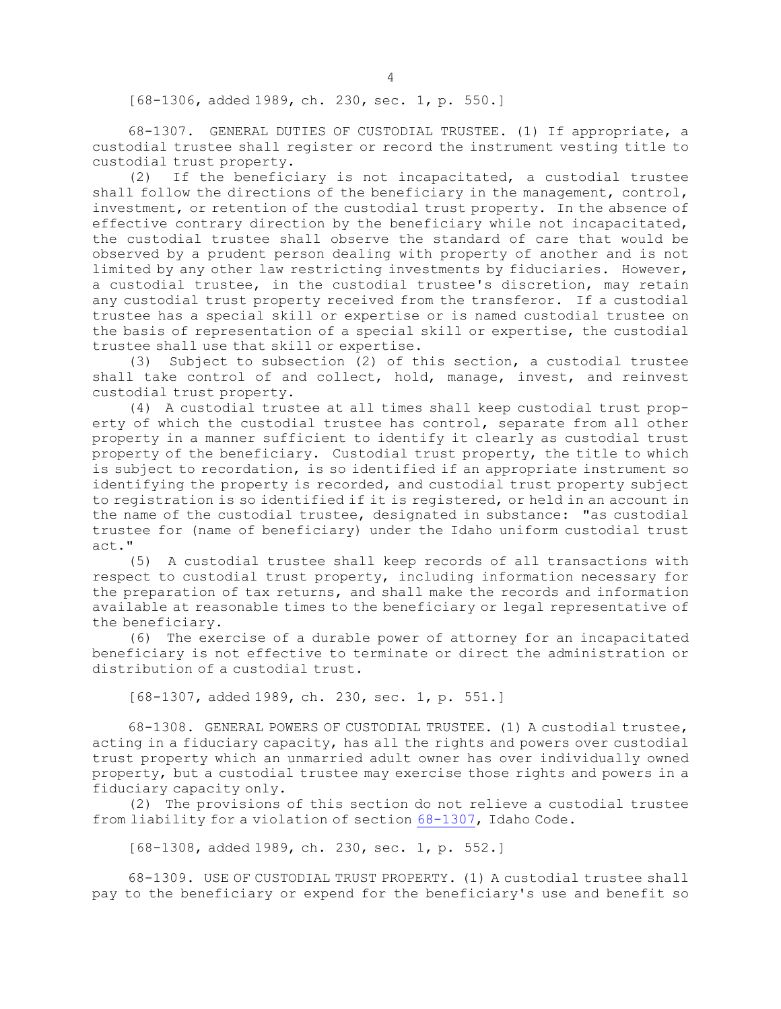[68-1306, added 1989, ch. 230, sec. 1, p. 550.]

68-1307. GENERAL DUTIES OF CUSTODIAL TRUSTEE. (1) If appropriate, <sup>a</sup> custodial trustee shall register or record the instrument vesting title to custodial trust property.

(2) If the beneficiary is not incapacitated, <sup>a</sup> custodial trustee shall follow the directions of the beneficiary in the management, control, investment, or retention of the custodial trust property. In the absence of effective contrary direction by the beneficiary while not incapacitated, the custodial trustee shall observe the standard of care that would be observed by <sup>a</sup> prudent person dealing with property of another and is not limited by any other law restricting investments by fiduciaries. However, <sup>a</sup> custodial trustee, in the custodial trustee's discretion, may retain any custodial trust property received from the transferor. If <sup>a</sup> custodial trustee has <sup>a</sup> special skill or expertise or is named custodial trustee on the basis of representation of <sup>a</sup> special skill or expertise, the custodial trustee shall use that skill or expertise.

(3) Subject to subsection (2) of this section, <sup>a</sup> custodial trustee shall take control of and collect, hold, manage, invest, and reinvest custodial trust property.

(4) <sup>A</sup> custodial trustee at all times shall keep custodial trust property of which the custodial trustee has control, separate from all other property in <sup>a</sup> manner sufficient to identify it clearly as custodial trust property of the beneficiary. Custodial trust property, the title to which is subject to recordation, is so identified if an appropriate instrument so identifying the property is recorded, and custodial trust property subject to registration is so identified if it is registered, or held in an account in the name of the custodial trustee, designated in substance: "as custodial trustee for (name of beneficiary) under the Idaho uniform custodial trust act."

(5) <sup>A</sup> custodial trustee shall keep records of all transactions with respect to custodial trust property, including information necessary for the preparation of tax returns, and shall make the records and information available at reasonable times to the beneficiary or legal representative of the beneficiary.

(6) The exercise of <sup>a</sup> durable power of attorney for an incapacitated beneficiary is not effective to terminate or direct the administration or distribution of <sup>a</sup> custodial trust.

[68-1307, added 1989, ch. 230, sec. 1, p. 551.]

68-1308. GENERAL POWERS OF CUSTODIAL TRUSTEE. (1) A custodial trustee, acting in <sup>a</sup> fiduciary capacity, has all the rights and powers over custodial trust property which an unmarried adult owner has over individually owned property, but <sup>a</sup> custodial trustee may exercise those rights and powers in <sup>a</sup> fiduciary capacity only.

(2) The provisions of this section do not relieve <sup>a</sup> custodial trustee from liability for <sup>a</sup> violation of section [68-1307](https://legislature.idaho.gov/statutesrules/idstat/Title68/T68CH13/SECT68-1307), Idaho Code.

[68-1308, added 1989, ch. 230, sec. 1, p. 552.]

68-1309. USE OF CUSTODIAL TRUST PROPERTY. (1) A custodial trustee shall pay to the beneficiary or expend for the beneficiary's use and benefit so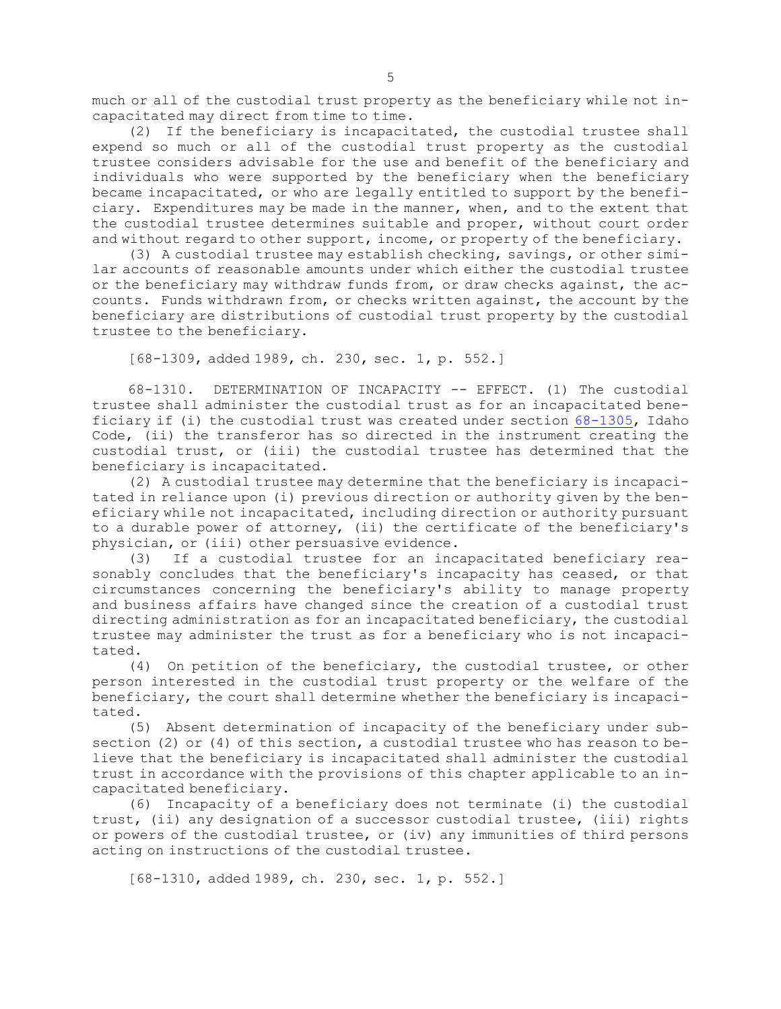much or all of the custodial trust property as the beneficiary while not incapacitated may direct from time to time.

(2) If the beneficiary is incapacitated, the custodial trustee shall expend so much or all of the custodial trust property as the custodial trustee considers advisable for the use and benefit of the beneficiary and individuals who were supported by the beneficiary when the beneficiary became incapacitated, or who are legally entitled to support by the beneficiary. Expenditures may be made in the manner, when, and to the extent that the custodial trustee determines suitable and proper, without court order and without regard to other support, income, or property of the beneficiary.

(3) <sup>A</sup> custodial trustee may establish checking, savings, or other similar accounts of reasonable amounts under which either the custodial trustee or the beneficiary may withdraw funds from, or draw checks against, the accounts. Funds withdrawn from, or checks written against, the account by the beneficiary are distributions of custodial trust property by the custodial trustee to the beneficiary.

[68-1309, added 1989, ch. 230, sec. 1, p. 552.]

68-1310. DETERMINATION OF INCAPACITY -- EFFECT. (1) The custodial trustee shall administer the custodial trust as for an incapacitated beneficiary if (i) the custodial trust was created under section [68-1305](https://legislature.idaho.gov/statutesrules/idstat/Title68/T68CH13/SECT68-1305), Idaho Code, (ii) the transferor has so directed in the instrument creating the custodial trust, or (iii) the custodial trustee has determined that the beneficiary is incapacitated.

(2) <sup>A</sup> custodial trustee may determine that the beneficiary is incapacitated in reliance upon (i) previous direction or authority given by the beneficiary while not incapacitated, including direction or authority pursuant to <sup>a</sup> durable power of attorney, (ii) the certificate of the beneficiary's physician, or (iii) other persuasive evidence.

(3) If <sup>a</sup> custodial trustee for an incapacitated beneficiary reasonably concludes that the beneficiary's incapacity has ceased, or that circumstances concerning the beneficiary's ability to manage property and business affairs have changed since the creation of <sup>a</sup> custodial trust directing administration as for an incapacitated beneficiary, the custodial trustee may administer the trust as for <sup>a</sup> beneficiary who is not incapacitated.

(4) On petition of the beneficiary, the custodial trustee, or other person interested in the custodial trust property or the welfare of the beneficiary, the court shall determine whether the beneficiary is incapacitated.

(5) Absent determination of incapacity of the beneficiary under subsection (2) or (4) of this section, <sup>a</sup> custodial trustee who has reason to believe that the beneficiary is incapacitated shall administer the custodial trust in accordance with the provisions of this chapter applicable to an incapacitated beneficiary.

(6) Incapacity of <sup>a</sup> beneficiary does not terminate (i) the custodial trust, (ii) any designation of <sup>a</sup> successor custodial trustee, (iii) rights or powers of the custodial trustee, or (iv) any immunities of third persons acting on instructions of the custodial trustee.

[68-1310, added 1989, ch. 230, sec. 1, p. 552.]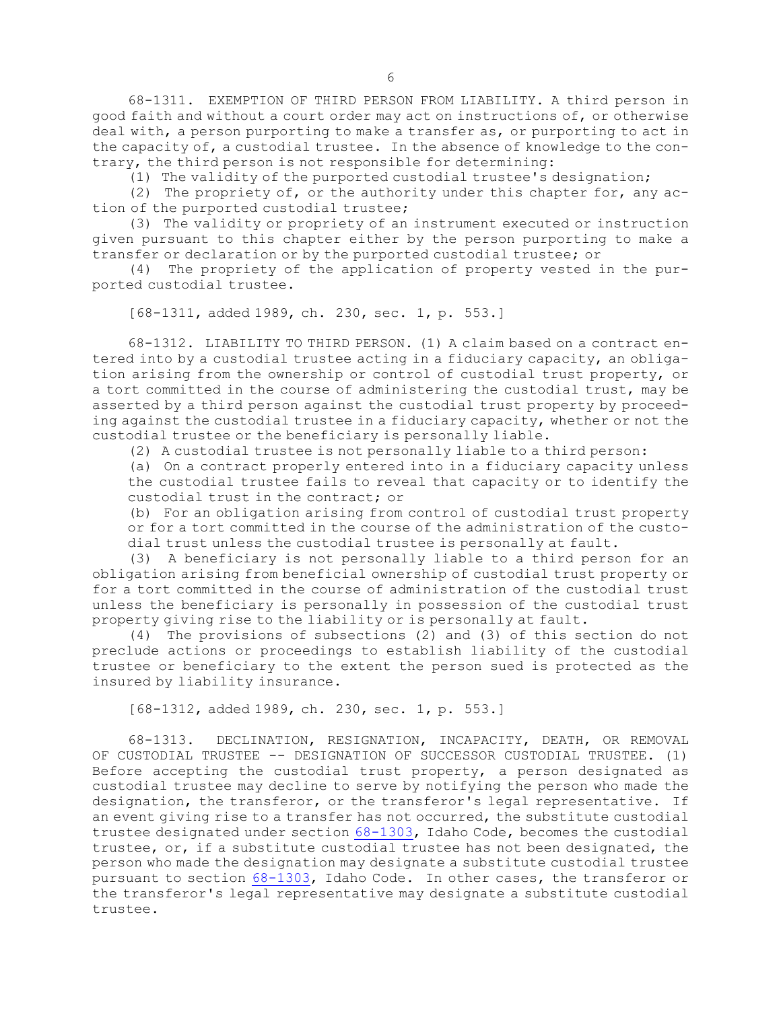68-1311. EXEMPTION OF THIRD PERSON FROM LIABILITY. <sup>A</sup> third person in good faith and without <sup>a</sup> court order may act on instructions of, or otherwise deal with, <sup>a</sup> person purporting to make <sup>a</sup> transfer as, or purporting to act in the capacity of, <sup>a</sup> custodial trustee. In the absence of knowledge to the contrary, the third person is not responsible for determining:

(1) The validity of the purported custodial trustee's designation;

(2) The propriety of, or the authority under this chapter for, any  $ac$ tion of the purported custodial trustee;

(3) The validity or propriety of an instrument executed or instruction given pursuant to this chapter either by the person purporting to make <sup>a</sup> transfer or declaration or by the purported custodial trustee; or

(4) The propriety of the application of property vested in the purported custodial trustee.

[68-1311, added 1989, ch. 230, sec. 1, p. 553.]

68-1312. LIABILITY TO THIRD PERSON. (1) A claim based on <sup>a</sup> contract entered into by <sup>a</sup> custodial trustee acting in <sup>a</sup> fiduciary capacity, an obligation arising from the ownership or control of custodial trust property, or <sup>a</sup> tort committed in the course of administering the custodial trust, may be asserted by <sup>a</sup> third person against the custodial trust property by proceeding against the custodial trustee in <sup>a</sup> fiduciary capacity, whether or not the custodial trustee or the beneficiary is personally liable.

(2) <sup>A</sup> custodial trustee is not personally liable to <sup>a</sup> third person:

(a) On <sup>a</sup> contract properly entered into in <sup>a</sup> fiduciary capacity unless the custodial trustee fails to reveal that capacity or to identify the custodial trust in the contract; or

(b) For an obligation arising from control of custodial trust property or for <sup>a</sup> tort committed in the course of the administration of the custodial trust unless the custodial trustee is personally at fault.

(3) <sup>A</sup> beneficiary is not personally liable to <sup>a</sup> third person for an obligation arising from beneficial ownership of custodial trust property or for <sup>a</sup> tort committed in the course of administration of the custodial trust unless the beneficiary is personally in possession of the custodial trust property giving rise to the liability or is personally at fault.

(4) The provisions of subsections (2) and (3) of this section do not preclude actions or proceedings to establish liability of the custodial trustee or beneficiary to the extent the person sued is protected as the insured by liability insurance.

[68-1312, added 1989, ch. 230, sec. 1, p. 553.]

68-1313. DECLINATION, RESIGNATION, INCAPACITY, DEATH, OR REMOVAL OF CUSTODIAL TRUSTEE -- DESIGNATION OF SUCCESSOR CUSTODIAL TRUSTEE. (1) Before accepting the custodial trust property, <sup>a</sup> person designated as custodial trustee may decline to serve by notifying the person who made the designation, the transferor, or the transferor's legal representative. If an event giving rise to <sup>a</sup> transfer has not occurred, the substitute custodial trustee designated under section [68-1303](https://legislature.idaho.gov/statutesrules/idstat/Title68/T68CH13/SECT68-1303), Idaho Code, becomes the custodial trustee, or, if <sup>a</sup> substitute custodial trustee has not been designated, the person who made the designation may designate <sup>a</sup> substitute custodial trustee pursuant to section [68-1303](https://legislature.idaho.gov/statutesrules/idstat/Title68/T68CH13/SECT68-1303), Idaho Code. In other cases, the transferor or the transferor's legal representative may designate <sup>a</sup> substitute custodial trustee.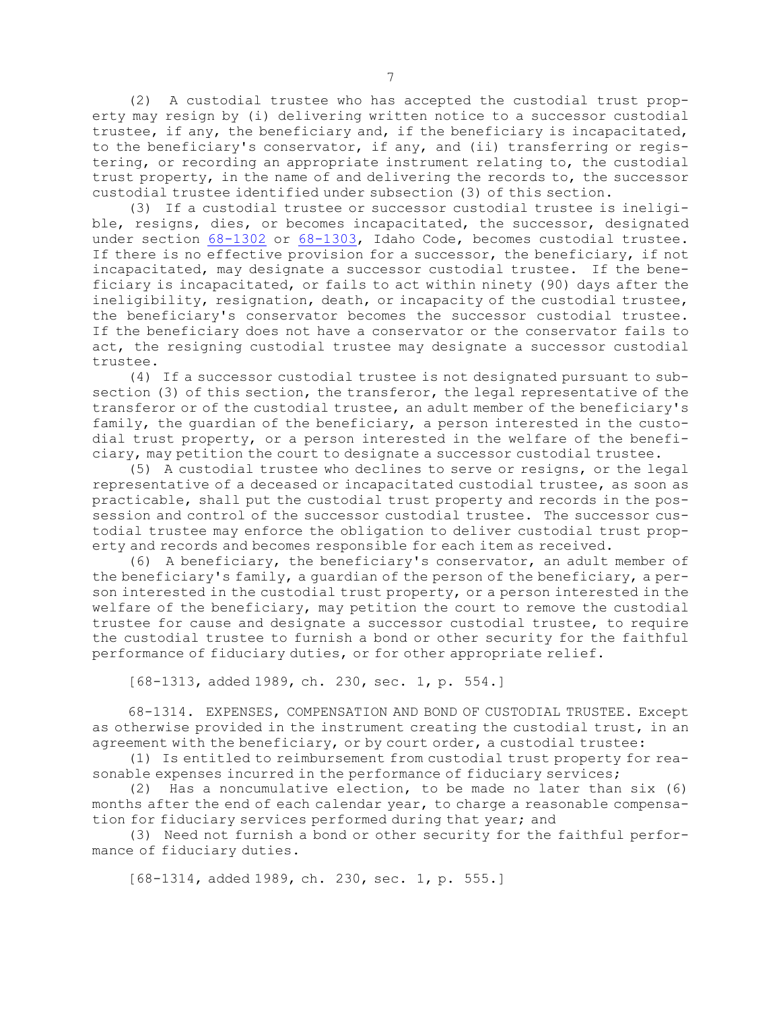(2) <sup>A</sup> custodial trustee who has accepted the custodial trust property may resign by (i) delivering written notice to <sup>a</sup> successor custodial trustee, if any, the beneficiary and, if the beneficiary is incapacitated, to the beneficiary's conservator, if any, and (ii) transferring or registering, or recording an appropriate instrument relating to, the custodial trust property, in the name of and delivering the records to, the successor custodial trustee identified under subsection (3) of this section.

(3) If <sup>a</sup> custodial trustee or successor custodial trustee is ineligible, resigns, dies, or becomes incapacitated, the successor, designated under section [68-1302](https://legislature.idaho.gov/statutesrules/idstat/Title68/T68CH13/SECT68-1302) or [68-1303](https://legislature.idaho.gov/statutesrules/idstat/Title68/T68CH13/SECT68-1303), Idaho Code, becomes custodial trustee. If there is no effective provision for <sup>a</sup> successor, the beneficiary, if not incapacitated, may designate <sup>a</sup> successor custodial trustee. If the beneficiary is incapacitated, or fails to act within ninety (90) days after the ineligibility, resignation, death, or incapacity of the custodial trustee, the beneficiary's conservator becomes the successor custodial trustee. If the beneficiary does not have <sup>a</sup> conservator or the conservator fails to act, the resigning custodial trustee may designate <sup>a</sup> successor custodial trustee.

(4) If <sup>a</sup> successor custodial trustee is not designated pursuant to subsection (3) of this section, the transferor, the legal representative of the transferor or of the custodial trustee, an adult member of the beneficiary's family, the guardian of the beneficiary, <sup>a</sup> person interested in the custodial trust property, or <sup>a</sup> person interested in the welfare of the beneficiary, may petition the court to designate <sup>a</sup> successor custodial trustee.

(5) <sup>A</sup> custodial trustee who declines to serve or resigns, or the legal representative of <sup>a</sup> deceased or incapacitated custodial trustee, as soon as practicable, shall put the custodial trust property and records in the possession and control of the successor custodial trustee. The successor custodial trustee may enforce the obligation to deliver custodial trust property and records and becomes responsible for each item as received.

(6) <sup>A</sup> beneficiary, the beneficiary's conservator, an adult member of the beneficiary's family, <sup>a</sup> guardian of the person of the beneficiary, <sup>a</sup> person interested in the custodial trust property, or <sup>a</sup> person interested in the welfare of the beneficiary, may petition the court to remove the custodial trustee for cause and designate <sup>a</sup> successor custodial trustee, to require the custodial trustee to furnish <sup>a</sup> bond or other security for the faithful performance of fiduciary duties, or for other appropriate relief.

[68-1313, added 1989, ch. 230, sec. 1, p. 554.]

68-1314. EXPENSES, COMPENSATION AND BOND OF CUSTODIAL TRUSTEE. Except as otherwise provided in the instrument creating the custodial trust, in an agreement with the beneficiary, or by court order, <sup>a</sup> custodial trustee:

(1) Is entitled to reimbursement from custodial trust property for reasonable expenses incurred in the performance of fiduciary services;

(2) Has <sup>a</sup> noncumulative election, to be made no later than six (6) months after the end of each calendar year, to charge <sup>a</sup> reasonable compensation for fiduciary services performed during that year; and

(3) Need not furnish <sup>a</sup> bond or other security for the faithful performance of fiduciary duties.

[68-1314, added 1989, ch. 230, sec. 1, p. 555.]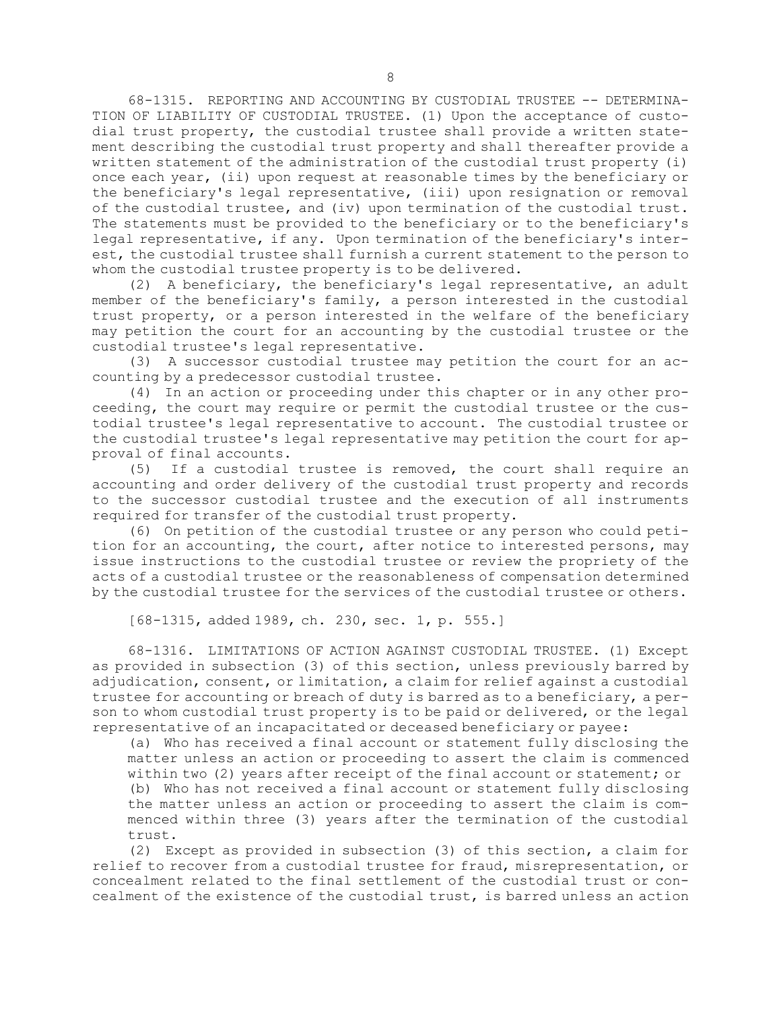68-1315. REPORTING AND ACCOUNTING BY CUSTODIAL TRUSTEE -- DETERMINA-TION OF LIABILITY OF CUSTODIAL TRUSTEE. (1) Upon the acceptance of custodial trust property, the custodial trustee shall provide <sup>a</sup> written statement describing the custodial trust property and shall thereafter provide <sup>a</sup> written statement of the administration of the custodial trust property (i) once each year, (ii) upon request at reasonable times by the beneficiary or the beneficiary's legal representative, (iii) upon resignation or removal of the custodial trustee, and (iv) upon termination of the custodial trust. The statements must be provided to the beneficiary or to the beneficiary's legal representative, if any. Upon termination of the beneficiary's interest, the custodial trustee shall furnish <sup>a</sup> current statement to the person to whom the custodial trustee property is to be delivered.

(2) <sup>A</sup> beneficiary, the beneficiary's legal representative, an adult member of the beneficiary's family, <sup>a</sup> person interested in the custodial trust property, or <sup>a</sup> person interested in the welfare of the beneficiary may petition the court for an accounting by the custodial trustee or the custodial trustee's legal representative.

(3) <sup>A</sup> successor custodial trustee may petition the court for an accounting by <sup>a</sup> predecessor custodial trustee.

(4) In an action or proceeding under this chapter or in any other proceeding, the court may require or permit the custodial trustee or the custodial trustee's legal representative to account. The custodial trustee or the custodial trustee's legal representative may petition the court for approval of final accounts.

(5) If <sup>a</sup> custodial trustee is removed, the court shall require an accounting and order delivery of the custodial trust property and records to the successor custodial trustee and the execution of all instruments required for transfer of the custodial trust property.

(6) On petition of the custodial trustee or any person who could petition for an accounting, the court, after notice to interested persons, may issue instructions to the custodial trustee or review the propriety of the acts of <sup>a</sup> custodial trustee or the reasonableness of compensation determined by the custodial trustee for the services of the custodial trustee or others.

[68-1315, added 1989, ch. 230, sec. 1, p. 555.]

68-1316. LIMITATIONS OF ACTION AGAINST CUSTODIAL TRUSTEE. (1) Except as provided in subsection (3) of this section, unless previously barred by adjudication, consent, or limitation, <sup>a</sup> claim for relief against <sup>a</sup> custodial trustee for accounting or breach of duty is barred as to <sup>a</sup> beneficiary, <sup>a</sup> person to whom custodial trust property is to be paid or delivered, or the legal representative of an incapacitated or deceased beneficiary or payee:

(a) Who has received <sup>a</sup> final account or statement fully disclosing the matter unless an action or proceeding to assert the claim is commenced within two (2) years after receipt of the final account or statement; or

(b) Who has not received <sup>a</sup> final account or statement fully disclosing the matter unless an action or proceeding to assert the claim is commenced within three (3) years after the termination of the custodial trust.

(2) Except as provided in subsection (3) of this section, <sup>a</sup> claim for relief to recover from <sup>a</sup> custodial trustee for fraud, misrepresentation, or concealment related to the final settlement of the custodial trust or concealment of the existence of the custodial trust, is barred unless an action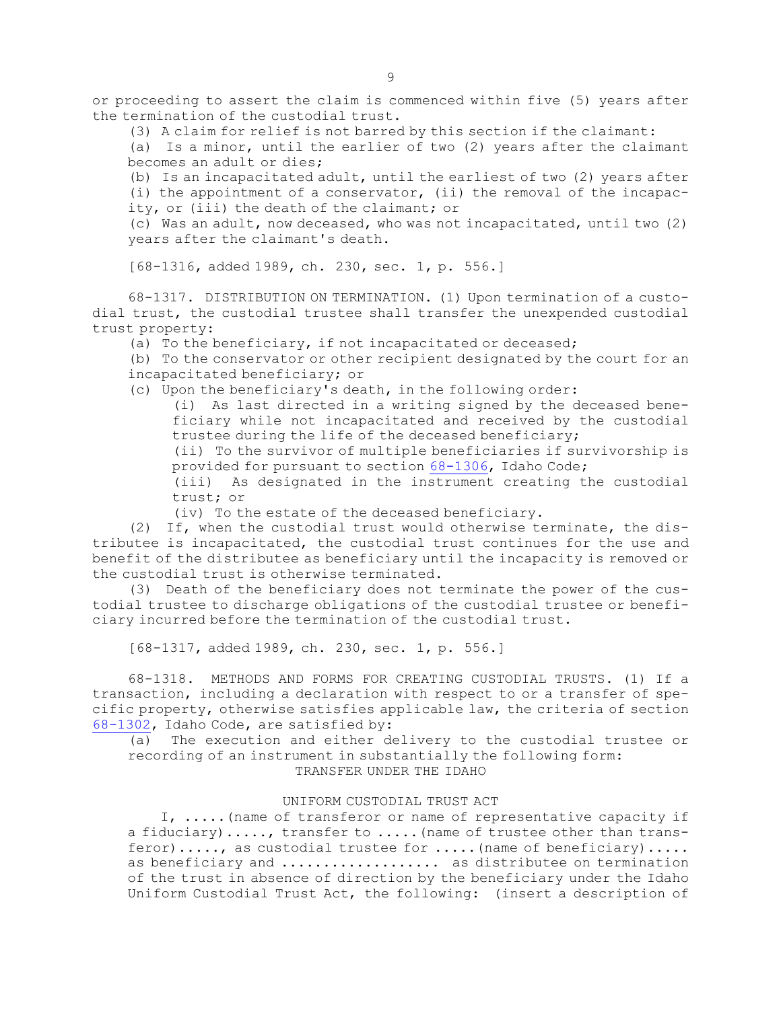or proceeding to assert the claim is commenced within five (5) years after the termination of the custodial trust.

(3) <sup>A</sup> claim for relief is not barred by this section if the claimant:

(a) Is <sup>a</sup> minor, until the earlier of two (2) years after the claimant becomes an adult or dies;

(b) Is an incapacitated adult, until the earliest of two (2) years after (i) the appointment of <sup>a</sup> conservator, (ii) the removal of the incapacity, or (iii) the death of the claimant; or

(c) Was an adult, now deceased, who was not incapacitated, until two (2) years after the claimant's death.

[68-1316, added 1989, ch. 230, sec. 1, p. 556.]

68-1317. DISTRIBUTION ON TERMINATION. (1) Upon termination of <sup>a</sup> custodial trust, the custodial trustee shall transfer the unexpended custodial trust property:

(a) To the beneficiary, if not incapacitated or deceased;

(b) To the conservator or other recipient designated by the court for an incapacitated beneficiary; or

(c) Upon the beneficiary's death, in the following order:

(i) As last directed in <sup>a</sup> writing signed by the deceased beneficiary while not incapacitated and received by the custodial trustee during the life of the deceased beneficiary;

(ii) To the survivor of multiple beneficiaries if survivorship is provided for pursuant to section [68-1306](https://legislature.idaho.gov/statutesrules/idstat/Title68/T68CH13/SECT68-1306), Idaho Code;

(iii) As designated in the instrument creating the custodial trust; or

(iv) To the estate of the deceased beneficiary.

(2) If, when the custodial trust would otherwise terminate, the distributee is incapacitated, the custodial trust continues for the use and benefit of the distributee as beneficiary until the incapacity is removed or the custodial trust is otherwise terminated.

(3) Death of the beneficiary does not terminate the power of the custodial trustee to discharge obligations of the custodial trustee or beneficiary incurred before the termination of the custodial trust.

[68-1317, added 1989, ch. 230, sec. 1, p. 556.]

68-1318. METHODS AND FORMS FOR CREATING CUSTODIAL TRUSTS. (1) If <sup>a</sup> transaction, including <sup>a</sup> declaration with respect to or <sup>a</sup> transfer of specific property, otherwise satisfies applicable law, the criteria of section [68-1302](https://legislature.idaho.gov/statutesrules/idstat/Title68/T68CH13/SECT68-1302), Idaho Code, are satisfied by:

(a) The execution and either delivery to the custodial trustee or recording of an instrument in substantially the following form: TRANSFER UNDER THE IDAHO

#### UNIFORM CUSTODIAL TRUST ACT

I, .....(name of transferor or name of representative capacity if <sup>a</sup> fiduciary)....., transfer to .....(name of trustee other than transferor)....., as custodial trustee for ..... (name of beneficiary)..... as beneficiary and ................... as distributee on termination of the trust in absence of direction by the beneficiary under the Idaho Uniform Custodial Trust Act, the following: (insert <sup>a</sup> description of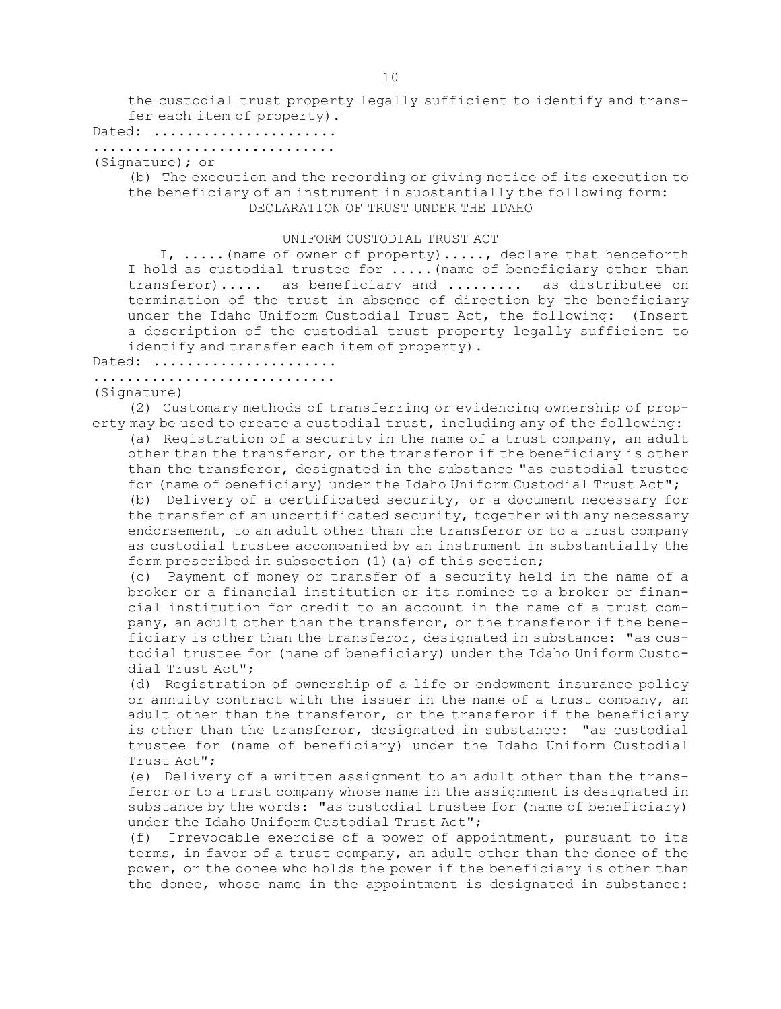the custodial trust property legally sufficient to identify and transfer each item of property).

Dated: .....................

.............................

(Signature); or

(b) The execution and the recording or giving notice of its execution to the beneficiary of an instrument in substantially the following form: DECLARATION OF TRUST UNDER THE IDAHO

#### UNIFORM CUSTODIAL TRUST ACT

I, .....(name of owner of property)....., declare that henceforth <sup>I</sup> hold as custodial trustee for .....(name of beneficiary other than transferor)..... as beneficiary and ......... as distributee on termination of the trust in absence of direction by the beneficiary under the Idaho Uniform Custodial Trust Act, the following: (Insert <sup>a</sup> description of the custodial trust property legally sufficient to identify and transfer each item of property).

Dated: .....................

.............................

(Signature)

(2) Customary methods of transferring or evidencing ownership of property may be used to create <sup>a</sup> custodial trust, including any of the following:

(a) Registration of <sup>a</sup> security in the name of <sup>a</sup> trust company, an adult other than the transferor, or the transferor if the beneficiary is other than the transferor, designated in the substance "as custodial trustee for (name of beneficiary) under the Idaho Uniform Custodial Trust Act";

(b) Delivery of <sup>a</sup> certificated security, or <sup>a</sup> document necessary for the transfer of an uncertificated security, together with any necessary endorsement, to an adult other than the transferor or to <sup>a</sup> trust company as custodial trustee accompanied by an instrument in substantially the form prescribed in subsection (1)(a) of this section;

(c) Payment of money or transfer of <sup>a</sup> security held in the name of <sup>a</sup> broker or <sup>a</sup> financial institution or its nominee to <sup>a</sup> broker or financial institution for credit to an account in the name of <sup>a</sup> trust company, an adult other than the transferor, or the transferor if the beneficiary is other than the transferor, designated in substance: "as custodial trustee for (name of beneficiary) under the Idaho Uniform Custodial Trust Act";

(d) Registration of ownership of <sup>a</sup> life or endowment insurance policy or annuity contract with the issuer in the name of <sup>a</sup> trust company, an adult other than the transferor, or the transferor if the beneficiary is other than the transferor, designated in substance: "as custodial trustee for (name of beneficiary) under the Idaho Uniform Custodial Trust Act";

(e) Delivery of <sup>a</sup> written assignment to an adult other than the transferor or to <sup>a</sup> trust company whose name in the assignment is designated in substance by the words: "as custodial trustee for (name of beneficiary) under the Idaho Uniform Custodial Trust Act";

(f) Irrevocable exercise of <sup>a</sup> power of appointment, pursuant to its terms, in favor of <sup>a</sup> trust company, an adult other than the donee of the power, or the donee who holds the power if the beneficiary is other than the donee, whose name in the appointment is designated in substance: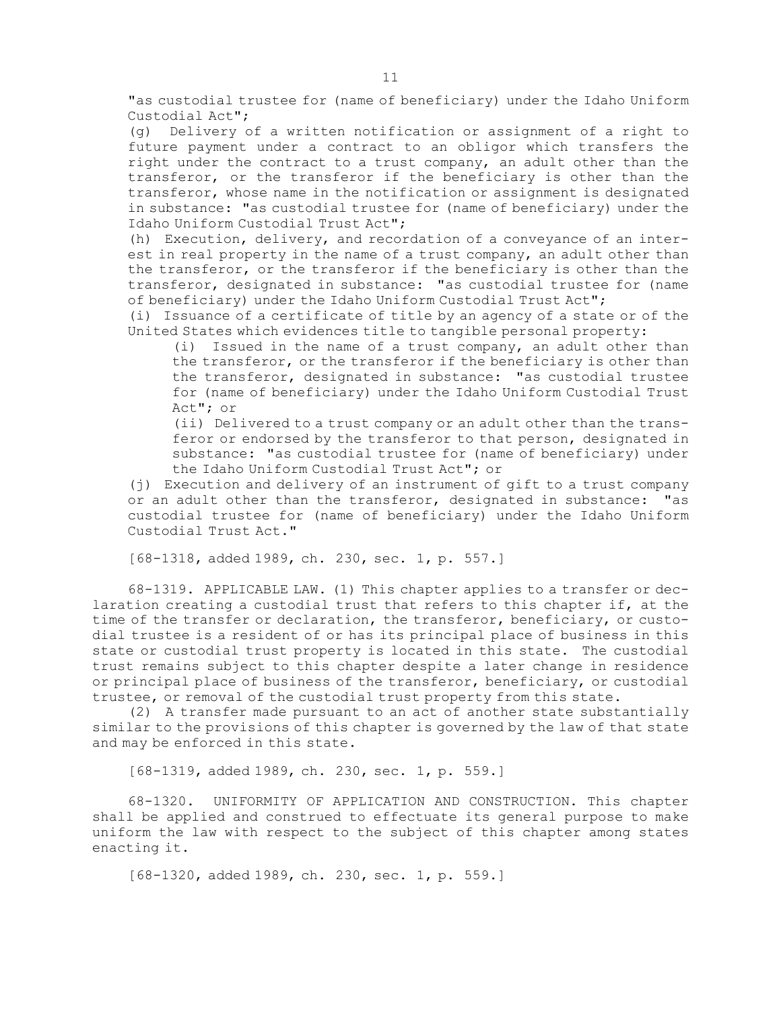"as custodial trustee for (name of beneficiary) under the Idaho Uniform Custodial Act";

(g) Delivery of <sup>a</sup> written notification or assignment of <sup>a</sup> right to future payment under <sup>a</sup> contract to an obligor which transfers the right under the contract to <sup>a</sup> trust company, an adult other than the transferor, or the transferor if the beneficiary is other than the transferor, whose name in the notification or assignment is designated in substance: "as custodial trustee for (name of beneficiary) under the Idaho Uniform Custodial Trust Act";

(h) Execution, delivery, and recordation of <sup>a</sup> conveyance of an interest in real property in the name of <sup>a</sup> trust company, an adult other than the transferor, or the transferor if the beneficiary is other than the transferor, designated in substance: "as custodial trustee for (name of beneficiary) under the Idaho Uniform Custodial Trust Act";

(i) Issuance of <sup>a</sup> certificate of title by an agency of <sup>a</sup> state or of the United States which evidences title to tangible personal property:

(i) Issued in the name of <sup>a</sup> trust company, an adult other than the transferor, or the transferor if the beneficiary is other than the transferor, designated in substance: "as custodial trustee for (name of beneficiary) under the Idaho Uniform Custodial Trust Act"; or

(ii) Delivered to <sup>a</sup> trust company or an adult other than the transferor or endorsed by the transferor to that person, designated in substance: "as custodial trustee for (name of beneficiary) under the Idaho Uniform Custodial Trust Act"; or

(j) Execution and delivery of an instrument of gift to <sup>a</sup> trust company or an adult other than the transferor, designated in substance: "as custodial trustee for (name of beneficiary) under the Idaho Uniform Custodial Trust Act."

[68-1318, added 1989, ch. 230, sec. 1, p. 557.]

68-1319. APPLICABLE LAW. (1) This chapter applies to <sup>a</sup> transfer or declaration creating <sup>a</sup> custodial trust that refers to this chapter if, at the time of the transfer or declaration, the transferor, beneficiary, or custodial trustee is <sup>a</sup> resident of or has its principal place of business in this state or custodial trust property is located in this state. The custodial trust remains subject to this chapter despite <sup>a</sup> later change in residence or principal place of business of the transferor, beneficiary, or custodial trustee, or removal of the custodial trust property from this state.

(2) <sup>A</sup> transfer made pursuant to an act of another state substantially similar to the provisions of this chapter is governed by the law of that state and may be enforced in this state.

[68-1319, added 1989, ch. 230, sec. 1, p. 559.]

68-1320. UNIFORMITY OF APPLICATION AND CONSTRUCTION. This chapter shall be applied and construed to effectuate its general purpose to make uniform the law with respect to the subject of this chapter among states enacting it.

[68-1320, added 1989, ch. 230, sec. 1, p. 559.]